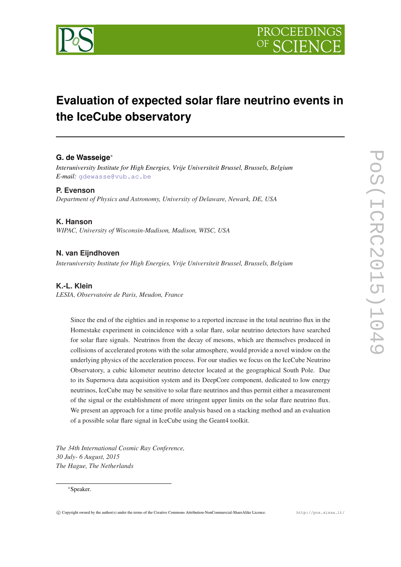

# **Evaluation of expected solar flare neutrino events in the IceCube observatory**

# **G. de Wasseige**<sup>∗</sup>

*Interuniversity Institute for High Energies, Vrije Universiteit Brussel, Brussels, Belgium E-mail:* [gdewasse@vub.ac.be](mailto:gdewasse@vub.ac.be)

#### **P. Evenson**

*Department of Physics and Astronomy, University of Delaware, Newark, DE, USA*

## **K. Hanson**

*WIPAC, University of Wisconsin-Madison, Madison, WISC, USA*

# **N. van Eijndhoven**

*Interuniversity Institute for High Energies, Vrije Universiteit Brussel, Brussels, Belgium*

## **K.-L. Klein**

*LESIA, Observatoire de Paris, Meudon, France*

Since the end of the eighties and in response to a reported increase in the total neutrino flux in the Homestake experiment in coincidence with a solar flare, solar neutrino detectors have searched for solar flare signals. Neutrinos from the decay of mesons, which are themselves produced in collisions of accelerated protons with the solar atmosphere, would provide a novel window on the underlying physics of the acceleration process. For our studies we focus on the IceCube Neutrino Observatory, a cubic kilometer neutrino detector located at the geographical South Pole. Due to its Supernova data acquisition system and its DeepCore component, dedicated to low energy neutrinos, IceCube may be sensitive to solar flare neutrinos and thus permit either a measurement of the signal or the establishment of more stringent upper limits on the solar flare neutrino flux. We present an approach for a time profile analysis based on a stacking method and an evaluation of a possible solar flare signal in IceCube using the Geant4 toolkit.

*The 34th International Cosmic Ray Conference, 30 July- 6 August, 2015 The Hague, The Netherlands*

#### <sup>∗</sup>Speaker.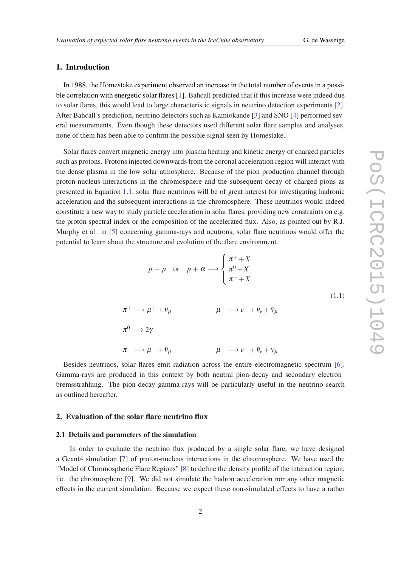# <span id="page-1-0"></span>1. Introduction

In 1988, the Homestake experiment observed an increase in the total number of events in a possible correlation with energetic solar flares [[1](#page-7-0)]. Bahcall predicted that if this increase were indeed due to solar flares, this would lead to large characteristic signals in neutrino detection experiments [\[2\]](#page-7-0). After Bahcall's prediction, neutrino detectors such as Kamiokande [\[3\]](#page-7-0) and SNO [[4](#page-7-0)] performed several measurements. Even though these detectors used different solar flare samples and analyses, none of them has been able to confirm the possible signal seen by Homestake.

Solar flares convert magnetic energy into plasma heating and kinetic energy of charged particles such as protons. Protons injected downwards from the coronal acceleration region will interact with the dense plasma in the low solar atmosphere. Because of the pion production channel through proton-nucleus interactions in the chromosphere and the subsequent decay of charged pions as presented in Equation 1.1, solar flare neutrinos will be of great interest for investigating hadronic acceleration and the subsequent interactions in the chromosphere. These neutrinos would indeed constitute a new way to study particle acceleration in solar flares, providing new constraints on e.g. the proton spectral index or the composition of the accelerated flux. Also, as pointed out by R.J. Murphy et al. in [[5](#page-7-0)] concerning gamma-rays and neutrons, solar flare neutrinos would offer the potential to learn about the structure and evolution of the flare environment.

$$
p + p \quad \text{or} \quad p + \alpha \longrightarrow \begin{cases} \pi^{+} + X \\ \pi^{0} + X \\ \pi^{-} + X \end{cases}
$$
\n
$$
\pi^{+} \longrightarrow \mu^{+} + \nu_{\mu} \qquad \mu^{+} \longrightarrow e^{+} + \nu_{e} + \bar{\nu}_{\mu}
$$
\n
$$
\pi^{0} \longrightarrow 2\gamma
$$
\n
$$
\pi^{-} \longrightarrow \mu^{-} + \bar{\nu}_{\mu} \qquad \mu^{-} \longrightarrow e^{-} + \bar{\nu}_{e} + \nu_{\mu}
$$
\n
$$
(1.1)
$$

Besides neutrinos, solar flares emit radiation across the entire electromagnetic spectrum [\[6\]](#page-7-0). Gamma-rays are produced in this context by both neutral pion-decay and secondary electron bremsstrahlung. The pion-decay gamma-rays will be particularly useful in the neutrino search as outlined hereafter.

#### 2. Evaluation of the solar flare neutrino flux

#### 2.1 Details and parameters of the simulation

In order to evaluate the neutrino flux produced by a single solar flare, we have designed a Geant4 simulation [\[7\]](#page-7-0) of proton-nucleus interactions in the chromosphere. We have used the "Model of Chromospheric Flare Regions" [[8](#page-7-0)] to define the density profile of the interaction region, i.e. the chromosphere [\[9\]](#page-7-0). We did not simulate the hadron acceleration nor any other magnetic effects in the current simulation. Because we expect these non-simulated effects to have a rather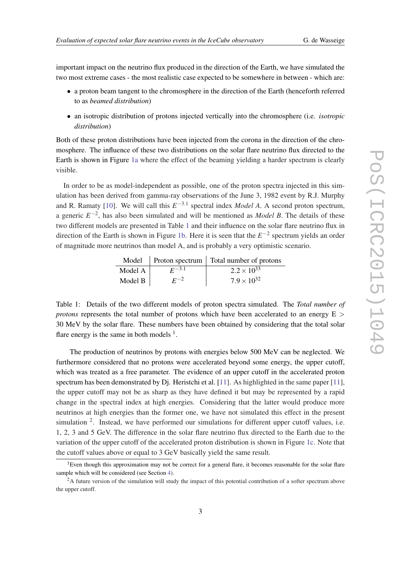important impact on the neutrino flux produced in the direction of the Earth, we have simulated the two most extreme cases - the most realistic case expected to be somewhere in between - which are:

- a proton beam tangent to the chromosphere in the direction of the Earth (henceforth referred to as *beamed distribution*)
- an isotropic distribution of protons injected vertically into the chromosphere (i.e. *isotropic distribution*)

Both of these proton distributions have been injected from the corona in the direction of the chromosphere. The influence of these two distributions on the solar flare neutrino flux directed to the Earth is shown in Figure [1a](#page-3-0) where the effect of the beaming yielding a harder spectrum is clearly visible.

In order to be as model-independent as possible, one of the proton spectra injected in this simulation has been derived from gamma-ray observations of the June 3, 1982 event by R.J. Murphy and R. Ramaty [[10\]](#page-7-0). We will call this  $E^{-3.1}$  spectral index *Model A*. A second proton spectrum, a generic  $E^{-2}$ , has also been simulated and will be mentioned as *Model B*. The details of these two different models are presented in Table 1 and their influence on the solar flare neutrino flux in direction of the Earth is shown in Figure [1b.](#page-3-0) Here it is seen that the *E* −2 spectrum yields an order of magnitude more neutrinos than model A, and is probably a very optimistic scenario.

|         |            | Model   Proton spectrum   Total number of protons |
|---------|------------|---------------------------------------------------|
| Model A | $F^{-3.1}$ | $2.2 \times 10^{33}$                              |
| Model B | $F^{-2}$   | $7.9 \times 10^{32}$                              |

Table 1: Details of the two different models of proton spectra simulated. The *Total number of protons* represents the total number of protons which have been accelerated to an energy  $E >$ 30 MeV by the solar flare. These numbers have been obtained by considering that the total solar flare energy is the same in both models  $<sup>1</sup>$ .</sup>

The production of neutrinos by protons with energies below 500 MeV can be neglected. We furthermore considered that no protons were accelerated beyond some energy, the upper cutoff, which was treated as a free parameter. The evidence of an upper cutoff in the accelerated proton spectrum has been demonstrated by  $D<sub>j</sub>$ . Heristchi et al. [\[11\]](#page-7-0). As highlighted in the same paper [[11\]](#page-7-0), the upper cutoff may not be as sharp as they have defined it but may be represented by a rapid change in the spectral index at high energies. Considering that the latter would produce more neutrinos at high energies than the former one, we have not simulated this effect in the present simulation <sup>2</sup>. Instead, we have performed our simulations for different upper cutoff values, i.e. 1, 2, 3 and 5 GeV. The difference in the solar flare neutrino flux directed to the Earth due to the variation of the upper cutoff of the accelerated proton distribution is shown in Figure [1c.](#page-3-0) Note that the cutoff values above or equal to 3 GeV basically yield the same result.

<sup>&</sup>lt;sup>1</sup>Even though this approximation may not be correct for a general flare, it becomes reasonable for the solar flare sample which will be considered (see Section [4](#page-6-0)).

<sup>&</sup>lt;sup>2</sup>A future version of the simulation will study the impact of this potential contribution of a softer spectrum above the upper cutoff.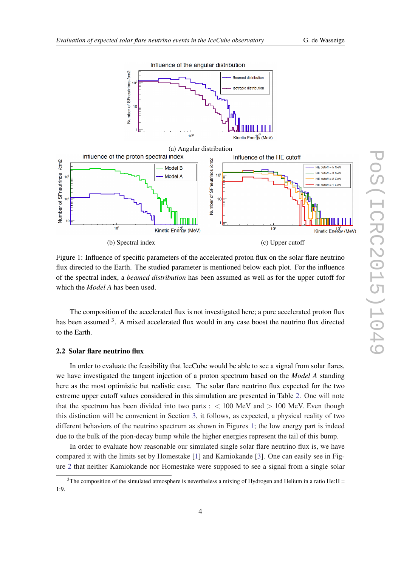

<span id="page-3-0"></span>

Figure 1: Influence of specific parameters of the accelerated proton flux on the solar flare neutrino flux directed to the Earth. The studied parameter is mentioned below each plot. For the influence of the spectral index, a *beamed distribution* has been assumed as well as for the upper cutoff for which the *Model A* has been used.

The composition of the accelerated flux is not investigated here; a pure accelerated proton flux has been assumed <sup>3</sup>. A mixed accelerated flux would in any case boost the neutrino flux directed to the Earth.

#### 2.2 Solar flare neutrino flux

In order to evaluate the feasibility that IceCube would be able to see a signal from solar flares, we have investigated the tangent injection of a proton spectrum based on the *Model A* standing here as the most optimistic but realistic case. The solar flare neutrino flux expected for the two extreme upper cutoff values considered in this simulation are presented in Table [2.](#page-4-0) One will note that the spectrum has been divided into two parts :  $< 100$  MeV and  $> 100$  MeV. Even though this distinction will be convenient in Section [3,](#page-4-0) it follows, as expected, a physical reality of two different behaviors of the neutrino spectrum as shown in Figures 1; the low energy part is indeed due to the bulk of the pion-decay bump while the higher energies represent the tail of this bump.

In order to evaluate how reasonable our simulated single solar flare neutrino flux is, we have compared it with the limits set by Homestake [\[1\]](#page-7-0) and Kamiokande [\[3\]](#page-7-0). One can easily see in Figure [2](#page-4-0) that neither Kamiokande nor Homestake were supposed to see a signal from a single solar

<sup>&</sup>lt;sup>3</sup>The composition of the simulated atmosphere is nevertheless a mixing of Hydrogen and Helium in a ratio He: $H =$ 1:9.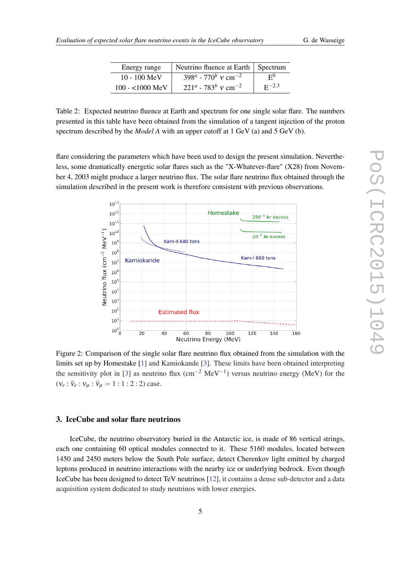|  | G. de Wasseige |  |
|--|----------------|--|
|  |                |  |

| Energy range     | Neutrino fluence at Earth   Spectrum          |                |
|------------------|-----------------------------------------------|----------------|
| $10 - 100$ MeV   | $398^a$ - 770 <sup>b</sup> v cm <sup>-2</sup> | F <sub>0</sub> |
| $100 - 1000$ MeV | $221^a$ - 783 <sup>b</sup> v cm <sup>-2</sup> | $E^{-2.3}$     |

<span id="page-4-0"></span>Table 2: Expected neutrino fluence at Earth and spectrum for one single solar flare. The numbers presented in this table have been obtained from the simulation of a tangent injection of the proton spectrum described by the *Model A* with an upper cutoff at 1 GeV (a) and 5 GeV (b).

flare considering the parameters which have been used to design the present simulation. Nevertheless, some dramatically energetic solar flares such as the "X-Whatever-flare" (X28) from November 4, 2003 might produce a larger neutrino flux. The solar flare neutrino flux obtained through the simulation described in the present work is therefore consistent with previous observations.



Figure 2: Comparison of the single solar flare neutrino flux obtained from the simulation with the limits set up by Homestake [\[1](#page-7-0)] and Kamiokande [[3](#page-7-0)]. These limits have been obtained interpreting the sensitivity plot in [\[3\]](#page-7-0) as neutrino flux (cm<sup>-2</sup> MeV<sup>-1</sup>) versus neutrino energy (MeV) for the  $(v_e : \bar{v}_e : v_\mu : \bar{v}_\mu = 1 : 1 : 2 : 2$ ) case.

### 3. IceCube and solar flare neutrinos

IceCube, the neutrino observatory buried in the Antarctic ice, is made of 86 vertical strings, each one containing 60 optical modules connected to it. These 5160 modules, located between 1450 and 2450 meters below the South Pole surface, detect Cherenkov light emitted by charged leptons produced in neutrino interactions with the nearby ice or underlying bedrock. Even though IceCube has been designed to detect TeV neutrinos [\[12](#page-7-0)], it contains a dense sub-detector and a data acquisition system dedicated to study neutrinos with lower energies.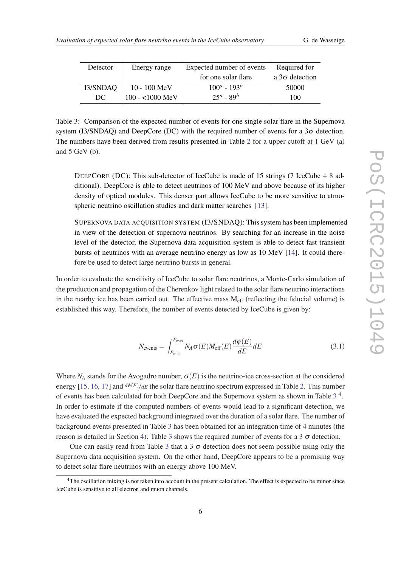<span id="page-5-0"></span>

| Detector | Energy range     | Expected number of events | Required for          |
|----------|------------------|---------------------------|-----------------------|
|          |                  | for one solar flare       | a $3\sigma$ detection |
| I3/SNDAQ | $10 - 100$ MeV   | $100^a - 193^b$           | 50000                 |
| DC.      | $100 - 1000$ MeV | $25^a - 89^b$             | 100                   |

Table 3: Comparison of the expected number of events for one single solar flare in the Supernova system (I3/SNDAQ) and DeepCore (DC) with the required number of events for a  $3\sigma$  detection. The numbers have been derived from results presented in Table [2](#page-4-0) for a upper cutoff at 1 GeV (a) and 5 GeV (b).

DEEPCORE (DC): This sub-detector of IceCube is made of 15 strings (7 IceCube + 8 additional). DeepCore is able to detect neutrinos of 100 MeV and above because of its higher density of optical modules. This denser part allows IceCube to be more sensitive to atmo-spheric neutrino oscillation studies and dark matter searches [\[13](#page-7-0)].

SUPERNOVA DATA ACQUISITION SYSTEM (I3/SNDAQ): This system has been implemented in view of the detection of supernova neutrinos. By searching for an increase in the noise level of the detector, the Supernova data acquisition system is able to detect fast transient bursts of neutrinos with an average neutrino energy as low as 10 MeV [\[14](#page-7-0)]. It could therefore be used to detect large neutrino bursts in general.

In order to evaluate the sensitivity of IceCube to solar flare neutrinos, a Monte-Carlo simulation of the production and propagation of the Cherenkov light related to the solar flare neutrino interactions in the nearby ice has been carried out. The effective mass  $M_{\text{eff}}$  (reflecting the fiducial volume) is established this way. Therefore, the number of events detected by IceCube is given by:

$$
N_{\text{events}} = \int_{E_{\text{min}}}^{E_{\text{max}}} N_A \sigma(E) M_{\text{eff}}(E) \frac{d\phi(E)}{dE} dE \tag{3.1}
$$

Where  $N_A$  stands for the Avogadro number,  $\sigma(E)$  is the neutrino-ice cross-section at the considered energy [[15,](#page-7-0) [16](#page-7-0), [17](#page-7-0)] and  $d\phi(E)/dE$  the solar flare neutrino spectrum expressed in Table [2](#page-4-0). This number of events has been calculated for both DeepCore and the Supernova system as shown in Table 3<sup>4</sup>. In order to estimate if the computed numbers of events would lead to a significant detection, we have evaluated the expected background integrated over the duration of a solar flare. The number of background events presented in Table 3 has been obtained for an integration time of 4 minutes (the reason is detailed in Section [4\)](#page-6-0). Table 3 shows the required number of events for a 3  $\sigma$  detection.

One can easily read from Table 3 that a 3  $\sigma$  detection does not seem possible using only the Supernova data acquisition system. On the other hand, DeepCore appears to be a promising way to detect solar flare neutrinos with an energy above 100 MeV.

<sup>&</sup>lt;sup>4</sup>The oscillation mixing is not taken into account in the present calculation. The effect is expected to be minor since IceCube is sensitive to all electron and muon channels.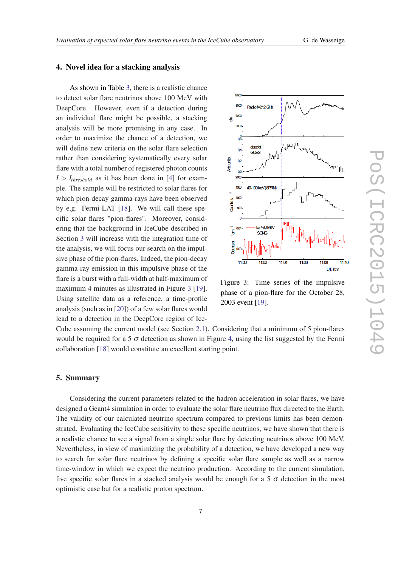#### <span id="page-6-0"></span>4. Novel idea for a stacking analysis

As shown in Table [3,](#page-5-0) there is a realistic chance to detect solar flare neutrinos above 100 MeV with DeepCore. However, even if a detection during an individual flare might be possible, a stacking analysis will be more promising in any case. In order to maximize the chance of a detection, we will define new criteria on the solar flare selection rather than considering systematically every solar flare with a total number of registered photon counts  $I > I_{threshold}$  as it has been done in [\[4\]](#page-7-0) for example. The sample will be restricted to solar flares for which pion-decay gamma-rays have been observed by e.g. Fermi-LAT [\[18\]](#page-7-0). We will call these specific solar flares "pion-flares". Moreover, considering that the background in IceCube described in Section [3](#page-4-0) will increase with the integration time of the analysis, we will focus our search on the impulsive phase of the pion-flares. Indeed, the pion-decay gamma-ray emission in this impulsive phase of the flare is a burst with a full-width at half-maximum of maximum 4 minutes as illustrated in Figure 3 [\[19](#page-7-0)]. Using satellite data as a reference, a time-profile analysis (such as in [\[20\]](#page-7-0)) of a few solar flares would lead to a detection in the DeepCore region of Ice-



Figure 3: Time series of the impulsive phase of a pion-flare for the October 28, 2003 event [[19\]](#page-7-0).

Cube assuming the current model (see Section [2.1\)](#page-1-0). Considering that a minimum of 5 pion-flares would be required for a 5  $\sigma$  detection as shown in Figure [4](#page-7-0), using the list suggested by the Fermi collaboration [\[18](#page-7-0)] would constitute an excellent starting point.

## 5. Summary

Considering the current parameters related to the hadron acceleration in solar flares, we have designed a Geant4 simulation in order to evaluate the solar flare neutrino flux directed to the Earth. The validity of our calculated neutrino spectrum compared to previous limits has been demonstrated. Evaluating the IceCube sensitivity to these specific neutrinos, we have shown that there is a realistic chance to see a signal from a single solar flare by detecting neutrinos above 100 MeV. Nevertheless, in view of maximizing the probability of a detection, we have developed a new way to search for solar flare neutrinos by defining a specific solar flare sample as well as a narrow time-window in which we expect the neutrino production. According to the current simulation, five specific solar flares in a stacked analysis would be enough for a 5  $\sigma$  detection in the most optimistic case but for a realistic proton spectrum.